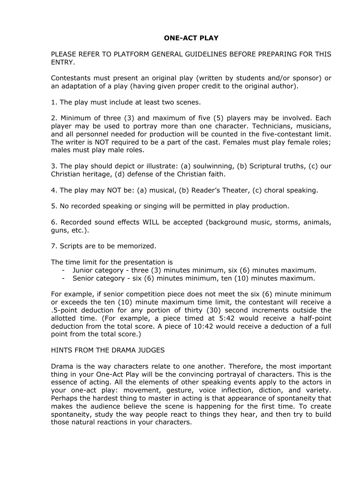## **ONE-ACT PLAY**

PLEASE REFER TO PLATFORM GENERAL GUIDELINES BEFORE PREPARING FOR THIS ENTRY.

Contestants must present an original play (written by students and/or sponsor) or an adaptation of a play (having given proper credit to the original author).

1. The play must include at least two scenes.

2. Minimum of three (3) and maximum of five (5) players may be involved. Each player may be used to portray more than one character. Technicians, musicians, and all personnel needed for production will be counted in the five-contestant limit. The writer is NOT required to be a part of the cast. Females must play female roles; males must play male roles.

3. The play should depict or illustrate: (a) soulwinning, (b) Scriptural truths, (c) our Christian heritage, (d) defense of the Christian faith.

4. The play may NOT be: (a) musical, (b) Reader's Theater, (c) choral speaking.

5. No recorded speaking or singing will be permitted in play production.

6. Recorded sound effects WILL be accepted (background music, storms, animals, guns, etc.).

7. Scripts are to be memorized.

The time limit for the presentation is

- Junior category three (3) minutes minimum, six (6) minutes maximum.
- Senior category six (6) minutes minimum, ten (10) minutes maximum.

For example, if senior competition piece does not meet the six (6) minute minimum or exceeds the ten (10) minute maximum time limit, the contestant will receive a .5-point deduction for any portion of thirty (30) second increments outside the allotted time. (For example, a piece timed at 5:42 would receive a half-point deduction from the total score. A piece of 10:42 would receive a deduction of a full point from the total score.)

## HINTS FROM THE DRAMA JUDGES

Drama is the way characters relate to one another. Therefore, the most important thing in your One-Act Play will be the convincing portrayal of characters. This is the essence of acting. All the elements of other speaking events apply to the actors in your one-act play: movement, gesture, voice inflection, diction, and variety. Perhaps the hardest thing to master in acting is that appearance of spontaneity that makes the audience believe the scene is happening for the first time. To create spontaneity, study the way people react to things they hear, and then try to build those natural reactions in your characters.